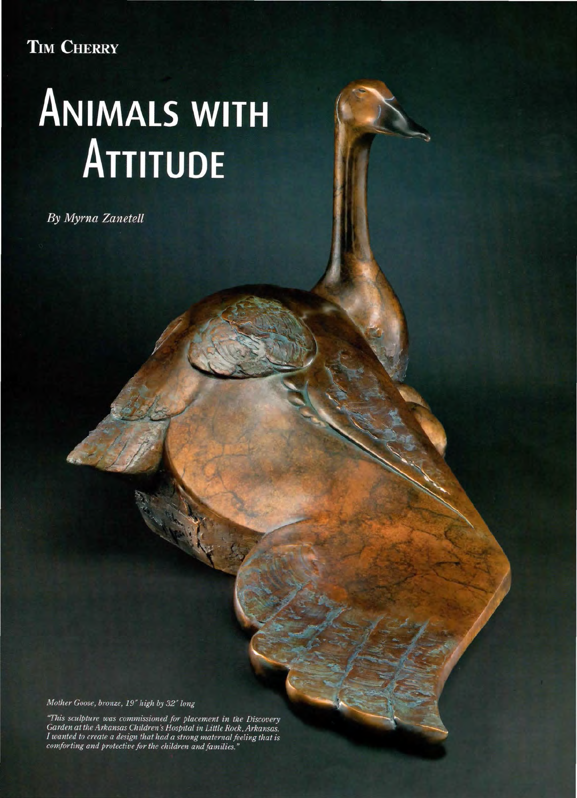## TIM CHERRY

## **ANIMALS WITH** ATTITUDE

By Myrna Zanetell

Mother Goose, bronze, 19" high by 32" long

"This sculpture was commissioned for placement in the Discovery<br>Garden at the Arkansas Children's Hospital in Little Rock, Arkansas. I wanted to create a design that had a strong maternal feeling that is comforting and protective for the children and families.'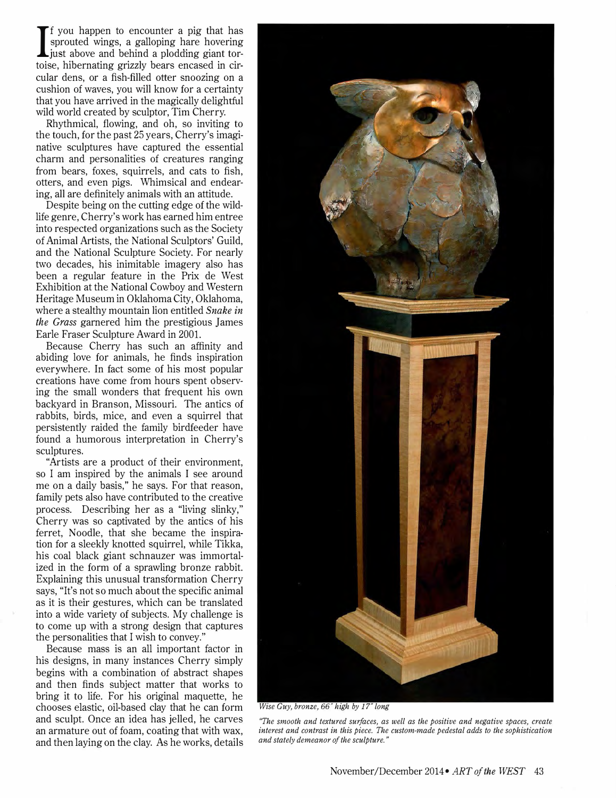I f you happen to encounter a pig that has sprouted wings, a galloping hare hovering . just above and behind a plodding giant tortoise, hibernating grizzly bears encased in circular dens, or a fish-filled otter snoozing on a cushion of waves, you will know for a certainty that you have arrived in the magically delightful wild world created by sculptor, Tim Cherry.

Rhythmical, flowing, and oh, so inviting to the touch, for the past 25 years, Cherry's imaginative sculptures have captured the essential charm and personalities of creatures ranging from bears, foxes, squirrels, and cats to fish, otters, and even pigs. Whimsical and endearing, all are definitely animals with an attitude.

Despite being on the cutting edge of the wildlife genre, Cherry's work has earned him entree into respected organizations such as the Society of Animal Artists, the National Sculptors' Guild, and the National Sculpture Society. For nearly two decades, his inimitable imagery also has been a regular feature in the Prix de West Exhibition at the National Cowboy and Western Heritage Museum in Oklahoma City, Oklahoma, where a stealthy mountain lion entitled *Snake in* the Grass garnered him the prestigious James Earle Fraser Sculpture Award in 2001.

Because Cherry has such an affinity and abiding love for animals, he finds inspiration everywhere. In fact some of his most popular creations have come from hours spent observing the small wonders that frequent his own backyard in Branson, Missouri. The antics of rabbits, birds, mice, and even a squirrel that persistently raided the family birdfeeder have found a humorous interpretation in Cherry's sculptures.

"Artists are a product of their environment, so I am inspired by the animals I see around me on a daily basis," he says. For that reason, family pets also have contributed to the creative process. Describing her as a "living slinky," Cherry was so captivated by the antics of his ferret, Noodle, that she became the inspiration for a sleekly knotted squirrel, while Tikka, his coal black giant schnauzer was immortalized in the form of a sprawling bronze rabbit. Explaining this unusual transformation Cherry says, "It's not so much about the specific animal as it is their gestures, which can be translated into a wide variety of subjects. My challenge is to come up with a strong design that captures the personalities that I wish to convey."

Because mass is an all important factor in his designs, in many instances Cherry simply begins with a combination of abstract shapes and then finds subject matter that works to bring it to life. For his original maquette, he chooses elastic, oil-based clay that he can form and sculpt. Once an idea has jelled, he carves an armature out of foam, coating that with wax, and then laying on the clay. As he works, details



Wise Guy, bronze, 66" high by 17" long

"The smooth and textured surfaces, as well as the positive and negative spaces, create interest and contrast in this piece. The custom-made pedestal adds to the sophistication and stately demeanor of the sculpture."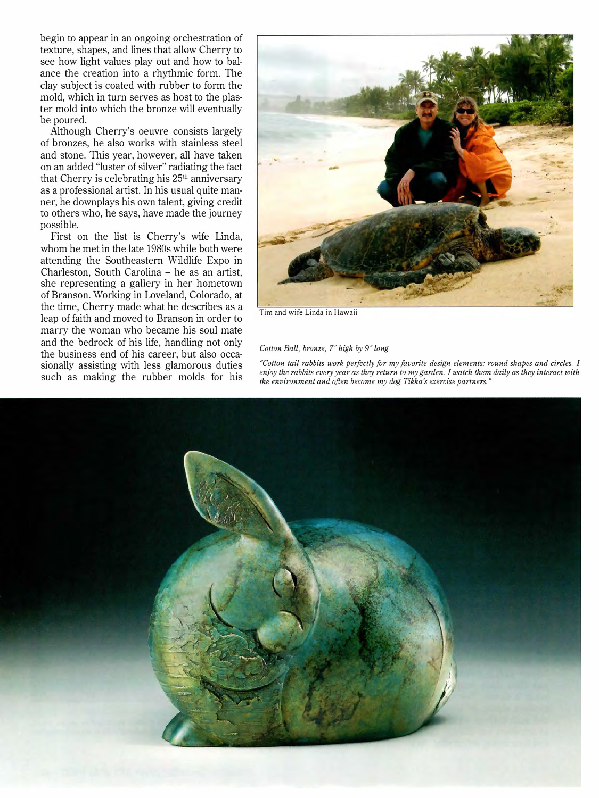begin to appear in an ongoing orchestration of texture, shapes, and lines that allow Cherry to see how light values play out and how to balance the creation into a rhythmic form. The clay subject is coated with rubber to form the mold, which in turn serves as host to the plaster mold into which the bronze will eventually be poured.

Although Cherry's oeuvre consists largely of bronzes, he also works with stainless steel and stone. This year, however, all have taken on an added "luster of silver" radiating the fact that Cherry is celebrating his  $25<sup>th</sup>$  anniversary as a professional artist. In his usual quite manner, he downplays his own talent, giving credit to others who, he says, have made the journey possible.

First on the list is Cherry's wife Linda, whom he met in the late 1980s while both were attending the Southeastern Wildlife Expo in Charleston, South Carolina - he as an artist, she representing a gallery in her hometown of Branson. Working in Loveland, Colorado, at the time, Cherry made what he describes as a leap of faith and moved to Branson in order to marry the woman who became his soul mate and the bedrock of his life, handling not only the business end of his career, but also occasionally assisting with less glamorous duties such as making the rubber molds for his



Tim and wife Linda in Hawaii

## Cotton Ball, bronze, 7" high by 9" long

"Cotton tail rabbits work perfectly for my favorite design elements: round shapes and circles. I enjoy the rabbits every year as they return to my garden. I watch them daily as they interact with the environment and often become my dog Tikka's exercise partners."

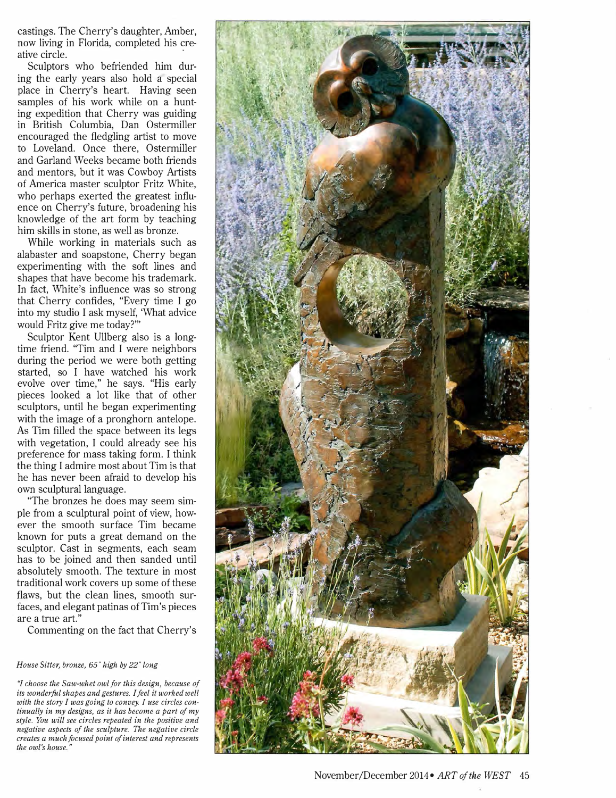castings. The Cherry's daughter, Amber, now living in Florida, completed his creative circle.

Sculptors who befriended him during the early years also hold a special place in Cherry's heart. Having seen samples of his work while on a hunting expedition that Cherry was guiding in British Columbia, Dan Ostermiller encouraged the fledgling artist to move to Loveland. Once there, Ostermiller and Garland Weeks became both friends and mentors, but it was Cowboy Artists of America master sculptor Fritz White, who perhaps exerted the greatest influence on Cherry's future, broadening his knowledge of the art form by teaching him skills in stone, as well as bronze.

While working in materials such as alabaster and soapstone, Cherry began experimenting with the soft lines and shapes that have become his trademark. In fact, White's influence was so strong that Cherry confides, "Every time I go into my studio I ask myself, 'What advice would Fritz give me today?"'

Sculptor Kent Ullberg also is a longtime friend. ''Tim and I were neighbors during the period we were both getting started, so I have watched his work evolve over time," he says. "His early pieces looked a lot like that of other sculptors, until he began experimenting with the image of a pronghorn antelope. As Tim filled the space between its legs with vegetation, I could already see his preference for mass taking form. I think the thing I admire most about Tim is that he has never been afraid to develop his own sculptural language.

''The bronzes he does may seem simple from a sculptural point of view, however the smooth surface Tim became known for puts a great demand on the sculptor. Cast in segments, each seam has to be joined and then sanded until absolutely smooth. The texture in most traditional work covers up some of these flaws, but the clean lines, smooth surfaces, and elegant patinas of Tim's pieces are a true art."

Commenting on the fact that Cherry's

## House Sitter, bronze, 65" high by 22" long

"I choose the Saw-whet owl for this design, because of its wonderful shapes and gestures. I feel it worked well with the story I was going to convey. I use circles continually in my designs, as it has become a part of my style. You will see circles repeated in the positive and negative aspects of the sculpture. The negative circle creates a much focused point of interest and represents the owl's house."

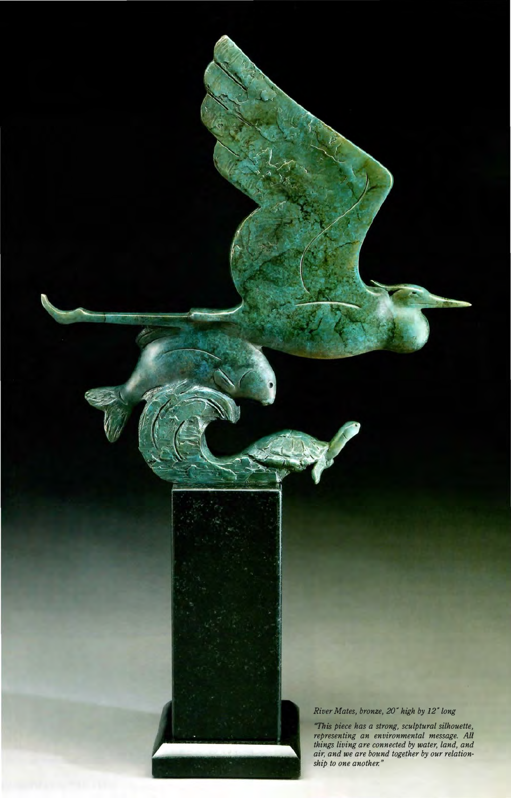

"This piece has a strong, sculptural silhouette, representing an environmental message. All things living are connected by water, land, and air, and we are bound together by our relationship to one another."